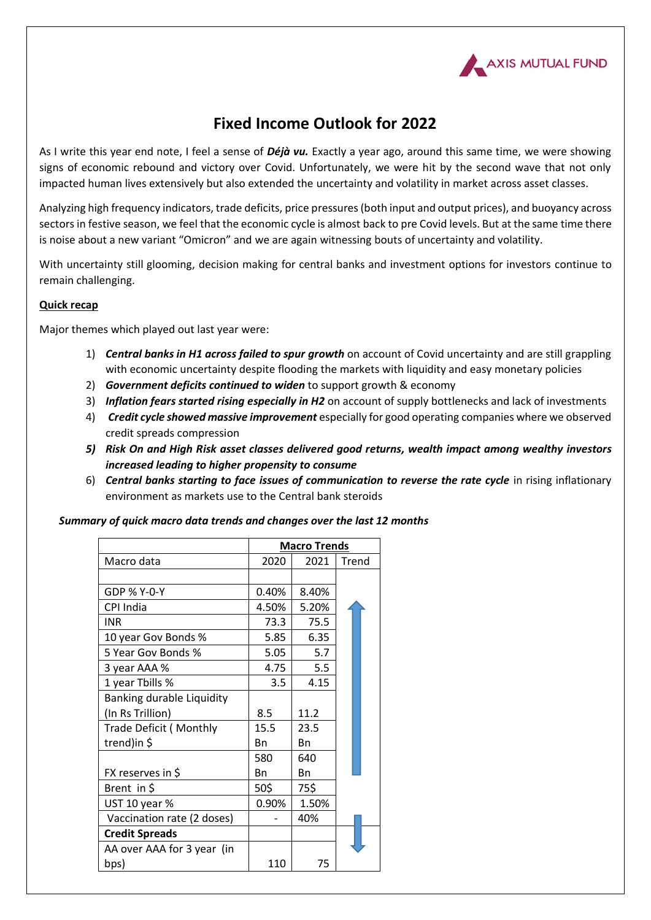

# **Fixed Income Outlook for 2022**

As I write this year end note, I feel a sense of *Déjà vu.* Exactly a year ago, around this same time, we were showing signs of economic rebound and victory over Covid. Unfortunately, we were hit by the second wave that not only impacted human lives extensively but also extended the uncertainty and volatility in market across asset classes.

Analyzing high frequency indicators, trade deficits, price pressures (both input and output prices), and buoyancy across sectors in festive season, we feel that the economic cycle is almost back to pre Covid levels. But at the same time there is noise about a new variant "Omicron" and we are again witnessing bouts of uncertainty and volatility.

With uncertainty still glooming, decision making for central banks and investment options for investors continue to remain challenging.

## **Quick recap**

Major themes which played out last year were:

- 1) *Central banks in H1 across failed to spur growth* on account of Covid uncertainty and are still grappling with economic uncertainty despite flooding the markets with liquidity and easy monetary policies
- 2) *Government deficits continued to widen* to support growth & economy
- 3) *Inflation fears started rising especially in H2* on account of supply bottlenecks and lack of investments
- 4) *Credit cycle showed massive improvement* especially for good operating companies where we observed credit spreads compression
- *5) Risk On and High Risk asset classes delivered good returns, wealth impact among wealthy investors increased leading to higher propensity to consume*
- 6) *Central banks starting to face issues of communication to reverse the rate cycle* in rising inflationary environment as markets use to the Central bank steroids

| Summary of quick macro data trends and changes over the last 12 months |  |  |  |
|------------------------------------------------------------------------|--|--|--|
|------------------------------------------------------------------------|--|--|--|

|                                  | <b>Macro Trends</b> |       |       |
|----------------------------------|---------------------|-------|-------|
| Macro data                       | 2020                | 2021  | Trend |
|                                  |                     |       |       |
| GDP % Y-0-Y                      | 0.40%               | 8.40% |       |
| CPI India                        | 4.50%               | 5.20% |       |
| <b>INR</b>                       | 73.3                | 75.5  |       |
| 10 year Gov Bonds %              | 5.85                | 6.35  |       |
| 5 Year Gov Bonds %               | 5.05                | 5.7   |       |
| 3 year AAA %                     | 4.75                | 5.5   |       |
| 1 year Tbills %                  | 3.5                 | 4.15  |       |
| <b>Banking durable Liquidity</b> |                     |       |       |
| (In Rs Trillion)                 | 8.5                 | 11.2  |       |
| <b>Trade Deficit (Monthly</b>    | 15.5                | 23.5  |       |
| trend)in \$                      | Bn                  | Bn    |       |
|                                  | 580                 | 640   |       |
| FX reserves in \$                | Bn                  | Bn    |       |
| Brent in \$                      | 50\$                | 75\$  |       |
| UST 10 year %                    | 0.90%               | 1.50% |       |
| Vaccination rate (2 doses)       |                     | 40%   |       |
| <b>Credit Spreads</b>            |                     |       |       |
| AA over AAA for 3 year (in       |                     |       |       |
| bps)                             | 110                 | 75    |       |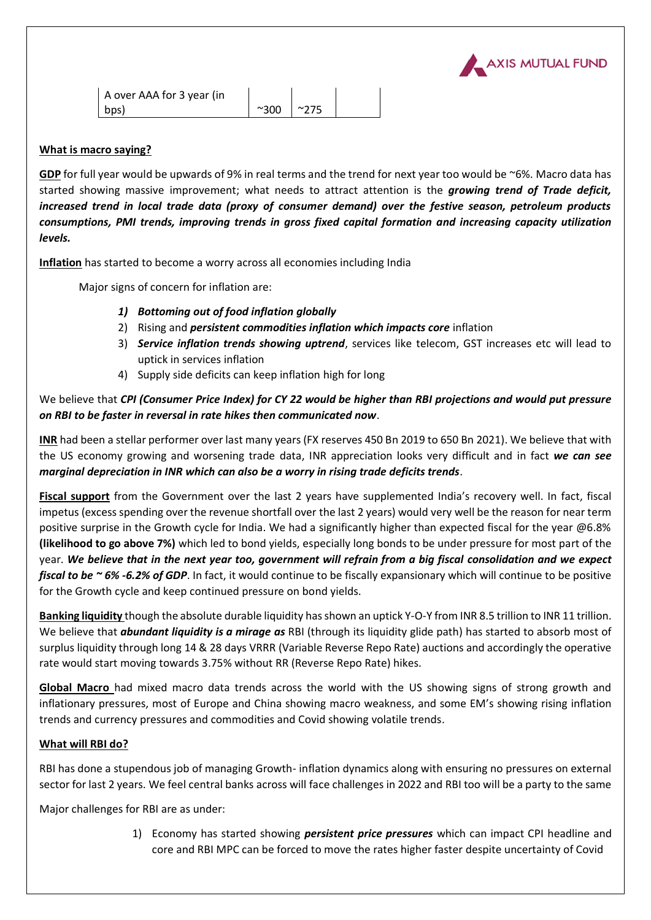

## **What is macro saying?**

**GDP** for full year would be upwards of 9% in real terms and the trend for next year too would be ~6%. Macro data has started showing massive improvement; what needs to attract attention is the *growing trend of Trade deficit, increased trend in local trade data (proxy of consumer demand) over the festive season, petroleum products consumptions, PMI trends, improving trends in gross fixed capital formation and increasing capacity utilization levels.*

**Inflation** has started to become a worry across all economies including India

Major signs of concern for inflation are:

- *1) Bottoming out of food inflation globally*
- 2) Rising and *persistent commodities inflation which impacts core* inflation
- 3) *Service inflation trends showing uptrend*, services like telecom, GST increases etc will lead to uptick in services inflation
- 4) Supply side deficits can keep inflation high for long

## We believe that *CPI (Consumer Price Index) for CY 22 would be higher than RBI projections and would put pressure on RBI to be faster in reversal in rate hikes then communicated now*.

**INR** had been a stellar performer over last many years (FX reserves 450 Bn 2019 to 650 Bn 2021). We believe that with the US economy growing and worsening trade data, INR appreciation looks very difficult and in fact *we can see marginal depreciation in INR which can also be a worry in rising trade deficits trends*.

**Fiscal support** from the Government over the last 2 years have supplemented India's recovery well. In fact, fiscal impetus (excess spending over the revenue shortfall over the last 2 years) would very well be the reason for near term positive surprise in the Growth cycle for India. We had a significantly higher than expected fiscal for the year @6.8% **(likelihood to go above 7%)** which led to bond yields, especially long bonds to be under pressure for most part of the year. *We believe that in the next year too, government will refrain from a big fiscal consolidation and we expect fiscal to be ~ 6% -6.2% of GDP*. In fact, it would continue to be fiscally expansionary which will continue to be positive for the Growth cycle and keep continued pressure on bond yields.

**Banking liquidity** though the absolute durable liquidity has shown an uptick Y-O-Y from INR 8.5 trillion to INR 11 trillion. We believe that *abundant liquidity is a mirage as* RBI (through its liquidity glide path) has started to absorb most of surplus liquidity through long 14 & 28 days VRRR (Variable Reverse Repo Rate) auctions and accordingly the operative rate would start moving towards 3.75% without RR (Reverse Repo Rate) hikes.

**Global Macro** had mixed macro data trends across the world with the US showing signs of strong growth and inflationary pressures, most of Europe and China showing macro weakness, and some EM's showing rising inflation trends and currency pressures and commodities and Covid showing volatile trends.

### **What will RBI do?**

RBI has done a stupendous job of managing Growth- inflation dynamics along with ensuring no pressures on external sector for last 2 years. We feel central banks across will face challenges in 2022 and RBI too will be a party to the same

Major challenges for RBI are as under:

1) Economy has started showing *persistent price pressures* which can impact CPI headline and core and RBI MPC can be forced to move the rates higher faster despite uncertainty of Covid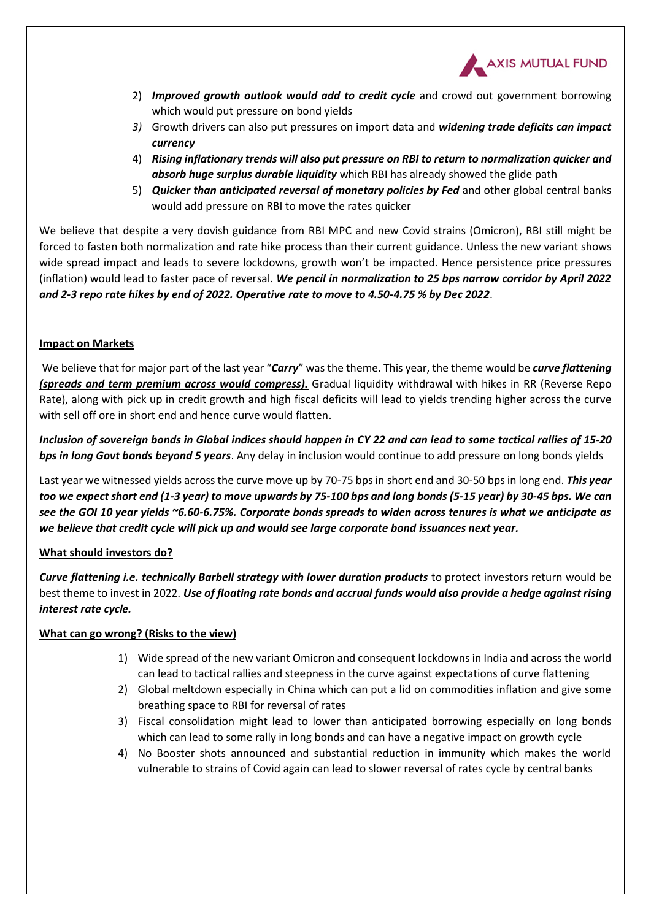

- 2) *Improved growth outlook would add to credit cycle* and crowd out government borrowing which would put pressure on bond yields
- *3)* Growth drivers can also put pressures on import data and *widening trade deficits can impact currency*
- 4) *Rising inflationary trends will also put pressure on RBI to return to normalization quicker and absorb huge surplus durable liquidity* which RBI has already showed the glide path
- 5) *Quicker than anticipated reversal of monetary policies by Fed* and other global central banks would add pressure on RBI to move the rates quicker

We believe that despite a very dovish guidance from RBI MPC and new Covid strains (Omicron), RBI still might be forced to fasten both normalization and rate hike process than their current guidance. Unless the new variant shows wide spread impact and leads to severe lockdowns, growth won't be impacted. Hence persistence price pressures (inflation) would lead to faster pace of reversal. *We pencil in normalization to 25 bps narrow corridor by April 2022 and 2-3 repo rate hikes by end of 2022. Operative rate to move to 4.50-4.75 % by Dec 2022*.

## **Impact on Markets**

We believe that for major part of the last year "*Carry*" was the theme. This year, the theme would be *curve flattening (spreads and term premium across would compress).* Gradual liquidity withdrawal with hikes in RR (Reverse Repo Rate), along with pick up in credit growth and high fiscal deficits will lead to yields trending higher across the curve with sell off ore in short end and hence curve would flatten.

*Inclusion of sovereign bonds in Global indices should happen in CY 22 and can lead to some tactical rallies of 15-20 bps in long Govt bonds beyond 5 years*. Any delay in inclusion would continue to add pressure on long bonds yields

Last year we witnessed yields across the curve move up by 70-75 bps in short end and 30-50 bps in long end. *This year too we expect short end (1-3 year) to move upwards by 75-100 bps and long bonds (5-15 year) by 30-45 bps. We can see the GOI 10 year yields ~6.60-6.75%. Corporate bonds spreads to widen across tenures is what we anticipate as we believe that credit cycle will pick up and would see large corporate bond issuances next year.*

## **What should investors do?**

*Curve flattening i.e. technically Barbell strategy with lower duration products* to protect investors return would be best theme to invest in 2022. *Use of floating rate bonds and accrual funds would also provide a hedge against rising interest rate cycle.*

## **What can go wrong? (Risks to the view)**

- 1) Wide spread of the new variant Omicron and consequent lockdowns in India and across the world can lead to tactical rallies and steepness in the curve against expectations of curve flattening
- 2) Global meltdown especially in China which can put a lid on commodities inflation and give some breathing space to RBI for reversal of rates
- 3) Fiscal consolidation might lead to lower than anticipated borrowing especially on long bonds which can lead to some rally in long bonds and can have a negative impact on growth cycle
- 4) No Booster shots announced and substantial reduction in immunity which makes the world vulnerable to strains of Covid again can lead to slower reversal of rates cycle by central banks